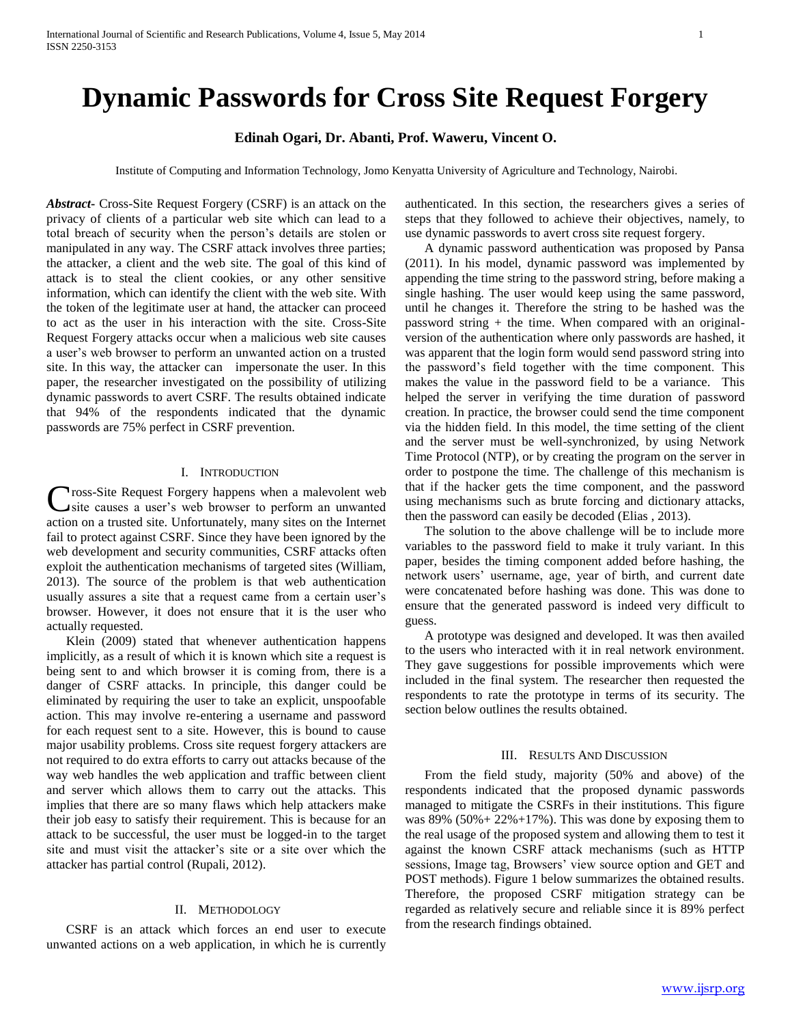# **Dynamic Passwords for Cross Site Request Forgery**

# **Edinah Ogari, Dr. Abanti, Prof. Waweru, Vincent O.**

Institute of Computing and Information Technology, Jomo Kenyatta University of Agriculture and Technology, Nairobi.

*Abstract***-** Cross-Site Request Forgery (CSRF) is an attack on the privacy of clients of a particular web site which can lead to a total breach of security when the person's details are stolen or manipulated in any way. The CSRF attack involves three parties; the attacker, a client and the web site. The goal of this kind of attack is to steal the client cookies, or any other sensitive information, which can identify the client with the web site. With the token of the legitimate user at hand, the attacker can proceed to act as the user in his interaction with the site. Cross-Site Request Forgery attacks occur when a malicious web site causes a user's web browser to perform an unwanted action on a trusted site. In this way, the attacker can impersonate the user. In this paper, the researcher investigated on the possibility of utilizing dynamic passwords to avert CSRF. The results obtained indicate that 94% of the respondents indicated that the dynamic passwords are 75% perfect in CSRF prevention.

# I. INTRODUCTION

**Tross-Site Request Forgery happens when a malevolent web** Cross-Site Request Forgery happens when a malevolent web site causes a user's web browser to perform an unwanted action on a trusted site. Unfortunately, many sites on the Internet fail to protect against CSRF. Since they have been ignored by the web development and security communities, CSRF attacks often exploit the authentication mechanisms of targeted sites (William, 2013). The source of the problem is that web authentication usually assures a site that a request came from a certain user's browser. However, it does not ensure that it is the user who actually requested.

 Klein (2009) stated that whenever authentication happens implicitly, as a result of which it is known which site a request is being sent to and which browser it is coming from, there is a danger of CSRF attacks. In principle, this danger could be eliminated by requiring the user to take an explicit, unspoofable action. This may involve re-entering a username and password for each request sent to a site. However, this is bound to cause major usability problems. Cross site request forgery attackers are not required to do extra efforts to carry out attacks because of the way web handles the web application and traffic between client and server which allows them to carry out the attacks. This implies that there are so many flaws which help attackers make their job easy to satisfy their requirement. This is because for an attack to be successful, the user must be logged-in to the target site and must visit the attacker's site or a site over which the attacker has partial control (Rupali, 2012).

### II. METHODOLOGY

 CSRF is an attack which forces an end user to execute unwanted actions on a web application, in which he is currently

authenticated. In this section, the researchers gives a series of steps that they followed to achieve their objectives, namely, to use dynamic passwords to avert cross site request forgery.

 A dynamic password authentication was proposed by Pansa (2011). In his model, dynamic password was implemented by appending the time string to the password string, before making a single hashing. The user would keep using the same password, until he changes it. Therefore the string to be hashed was the password string + the time. When compared with an originalversion of the authentication where only passwords are hashed, it was apparent that the login form would send password string into the password's field together with the time component. This makes the value in the password field to be a variance. This helped the server in verifying the time duration of password creation. In practice, the browser could send the time component via the hidden field. In this model, the time setting of the client and the server must be well-synchronized, by using Network Time Protocol (NTP), or by creating the program on the server in order to postpone the time. The challenge of this mechanism is that if the hacker gets the time component, and the password using mechanisms such as brute forcing and dictionary attacks, then the password can easily be decoded (Elias , 2013).

 The solution to the above challenge will be to include more variables to the password field to make it truly variant. In this paper, besides the timing component added before hashing, the network users' username, age, year of birth, and current date were concatenated before hashing was done. This was done to ensure that the generated password is indeed very difficult to guess.

 A prototype was designed and developed. It was then availed to the users who interacted with it in real network environment. They gave suggestions for possible improvements which were included in the final system. The researcher then requested the respondents to rate the prototype in terms of its security. The section below outlines the results obtained.

## III. RESULTS AND DISCUSSION

 From the field study, majority (50% and above) of the respondents indicated that the proposed dynamic passwords managed to mitigate the CSRFs in their institutions. This figure was  $89\%$  (50% + 22% + 17%). This was done by exposing them to the real usage of the proposed system and allowing them to test it against the known CSRF attack mechanisms (such as HTTP sessions, Image tag, Browsers' view source option and GET and POST methods). Figure 1 below summarizes the obtained results. Therefore, the proposed CSRF mitigation strategy can be regarded as relatively secure and reliable since it is 89% perfect from the research findings obtained.